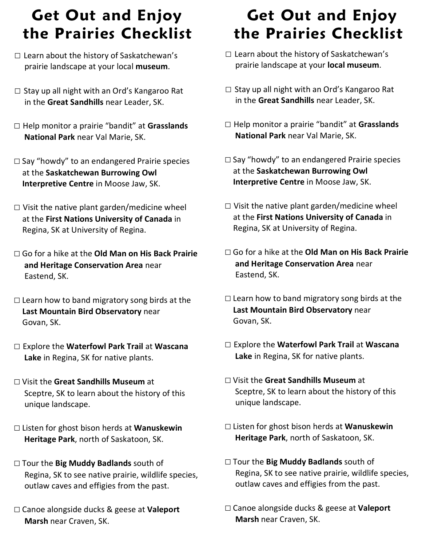## **Get Out and Enjoy the Prairies Checklist**

- $\square$  Learn about the history of Saskatchewan's prairie landscape at your **local museum**.
- □ Stay up all night with an Ord's Kangaroo Rat in the **Great Sandhills** near Leader, SK.
- □ Help monitor a prairie "bandit" at **Grasslands National Park** near Val Marie, SK.
- $\square$  Say "howdy" to an endangered Prairie species at the **Saskatchewan Burrowing Owl Interpretive Centre** in Moose Jaw, SK.
- $\square$  Visit the native plant garden/medicine wheel at the **First Nations University of Canada** in Regina, SK at University of Regina.
- □ Go for a hike at the **Old Man on His Back Prairie and Heritage Conservation Area** near Eastend, SK.
- $\square$  Learn how to band migratory song birds at the **Last Mountain Bird Observatory** near Govan, SK.
- □ Explore the **Waterfowl Park Trail** at **Wascana Lake** in Regina, SK for native plants.
- □ Visit the **Great Sandhills Museum** at Sceptre, SK to learn about the history of this unique landscape.
- □ Listen for ghost bison herds at **Wanuskewin Heritage Park**, north of Saskatoon, SK.
- □ Tour the **Big Muddy Badlands** south of Regina, SK to see native prairie, wildlife species, outlaw caves and effigies from the past.
- □ Canoe alongside ducks & geese at **Valeport Marsh** near Craven, SK.